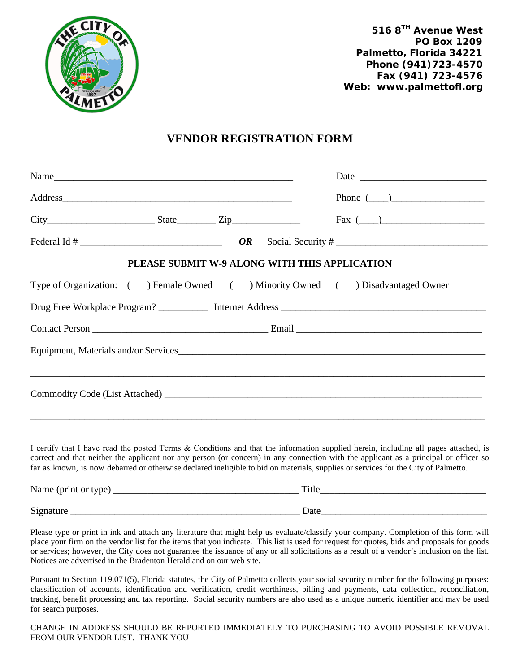

**516 8TH Avenue West PO Box 1209 Palmetto, Florida 34221 Phone (941)723-4570 Fax (941) 723-4576 Web: www.palmettofl.org**

## **VENDOR REGISTRATION FORM**

|                                               |  |  |  | Phone $(\_\_)$                                                                 |  |  |  |  |
|-----------------------------------------------|--|--|--|--------------------------------------------------------------------------------|--|--|--|--|
| $City$ $City$ $State$ $Zip$                   |  |  |  | $\text{Fax} \; (\underline{\hspace{1cm}})$                                     |  |  |  |  |
|                                               |  |  |  |                                                                                |  |  |  |  |
| PLEASE SUBMIT W-9 ALONG WITH THIS APPLICATION |  |  |  |                                                                                |  |  |  |  |
|                                               |  |  |  | Type of Organization: () Female Owned () Minority Owned () Disadvantaged Owner |  |  |  |  |
|                                               |  |  |  |                                                                                |  |  |  |  |
|                                               |  |  |  |                                                                                |  |  |  |  |
|                                               |  |  |  |                                                                                |  |  |  |  |
|                                               |  |  |  |                                                                                |  |  |  |  |
|                                               |  |  |  |                                                                                |  |  |  |  |
|                                               |  |  |  |                                                                                |  |  |  |  |

I certify that I have read the posted Terms & Conditions and that the information supplied herein, including all pages attached, is correct and that neither the applicant nor any person (or concern) in any connection with the applicant as a principal or officer so far as known, is now debarred or otherwise declared ineligible to bid on materials, supplies or services for the City of Palmetto.

| Name (print or type) | Title |
|----------------------|-------|
| Signature            | Date  |

Please type or print in ink and attach any literature that might help us evaluate/classify your company. Completion of this form will place your firm on the vendor list for the items that you indicate. This list is used for request for quotes, bids and proposals for goods or services; however, the City does not guarantee the issuance of any or all solicitations as a result of a vendor's inclusion on the list. Notices are advertised in the Bradenton Herald and on our web site.

Pursuant to Section 119.071(5), Florida statutes, the City of Palmetto collects your social security number for the following purposes: classification of accounts, identification and verification, credit worthiness, billing and payments, data collection, reconciliation, tracking, benefit processing and tax reporting. Social security numbers are also used as a unique numeric identifier and may be used for search purposes.

CHANGE IN ADDRESS SHOULD BE REPORTED IMMEDIATELY TO PURCHASING TO AVOID POSSIBLE REMOVAL FROM OUR VENDOR LIST. THANK YOU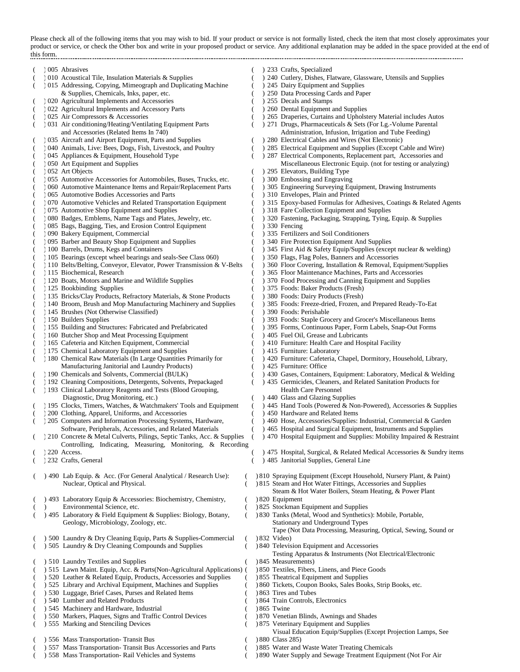Please check all of the following items that you may wish to bid. If your product or service is not formally listed, check the item that most closely approximates your product or service, or check the Other box and write in your proposed product or service. Any additional explanation may be added in the space provided at the end of this form. 

( ) 005 Abrasives ( ) 233 Crafts, Specialized (a) 010 Acoustical Tile, Insulation Materials & Supplies (c) 240 Cutlery, Dishes, Flatware, Glassware, Utensils and Supplies (d) 215 Addressing, Copying, Mimeograph and Duplicating Machine (d) 245 Dairy Equipment and Suppl ) 015 Addressing, Copying, Mimeograph and Duplicating Machine & Supplies, Chemicals, Inks, paper, etc. ( ) 250 Data Processing Cards and Paper ( ) 020 Agricultural Implements and Accessories ( ) 255 Decals and Stamps (a) 022 Agricultural Implements and Accessory Parts (b) 260 Dental Equipment and Supplies (c) 265 Draperies, Curtains and Upholst (a) 025 Air Compressors & Accessories (2015) 265 Draperies, Curtains and Upholstery Material includes Autos (2016) 265 Draperies, Curtains and Upholstery Material includes Autos (2016) 271 Drugs, Pharmaceuticals & Sets (Fo ) 271 Drugs, Pharmaceuticals  $\&$  Sets (For Lg.-Volume Parental and Accessories (Related Items In 740) <br>Administration, Infusion, Irrigation and Tube Feeding)<br>Aircraft and Airport Equipment, Parts and Supplies (280 Electrical Cables and Wires (Not Electronic) ( ) 035 Aircraft and Airport Equipment, Parts and Supplies ( ) 040 Animals, Live: Bees, Dogs, Fish, Livestock, and Poultry ) 285 Electrical Equipment and Supplies (Except Cable and Wire) (a) 045 Appliances & Equipment, Household Type (c) 287 Electrical Components, Replacement part, Accessories and (b) 050 Art Equipment and Supplies (c) 287 Electrical Components, Replacement part, Accessories and Miscellane Miscellaneous Electronic Equip. (not for testing or analyzing) (absolution 1952 Art Objects (b) 295 Elevators, Building Type (b) 295 Elevators, Building Type (b) 355 Automotive Accessories for Automobiles, Buses, Trucks, etc. (c) 300 Embossing and Engraving (Casaryline Accessories for Automobiles, Buses, Trucks, etc. (Casaryline of Embossing and Engraving<br>
(Casaryline Suttemant, Drawing Instruments (Casaryline Farts (Casaryline Surveying Equipment, Drawing Instruments (Casary (a) 060 Automotive Maintenance Items and Repair/Replacement Parts (b) 305 Engineering Surveying Equipment (b) 310 Envelopes, Plain and Printed (c) 310 Envelopes, Plain and Printed ) 065 Automotive Bodies Accessories and Parts ( ) 310 Automotive Vehicles and Related Transportation Equipment ( ) 315 Epoxy-based Formulas for Adhesives, Coatings & Related Agents ( ) 318 Fare Collection Equipment and Supplies ( ) 075 Automotive Shop Equipment and Supplies ( ) 318 Fare Collection Equipment and Supplies ( ) 318 Fare Collection Equipment and Supplies ( ) 318 Fare Collection Equipment and Supplies ( ) 318 Fare Collection Equipment ) 320 Fastening, Packaging, Strapping, Tying, Equip. & Supplies (a) 085 Bags, Bagging, Ties, and Erosion Control Equipment (b) 330 Fencing (c) 330 Fencing (b) 836 Fertilizers and Soil Conditioners (a) 090 Bakery Equipment, Commercial (c) 335 Fertilizers and Soil Conditioners<br>
(b) 335 Fertilizers and Soil Conditioners (c) 340 Fire Protection Equipment And Supplies (c) 340 Fire Protection Equipment And Supplies ( ) 095 Barber and Beauty Shop Equipment and Supplies ( ) 340 Fire Protection Equipment And Supplies ) 345 First Aid & Safety Equip/Supplies (except nuclear & welding) ( ) 105 Bearings (except wheel bearings and seals-See Class 060) ( ) 350 Flags, Flag Poles, Banners and Accessories ( ) 110 Belts/Belting, Conveyor, Elevator, Power Transmission & V-Belts ( ) 360 Floor Covering, Installati ) 110 Belts/Belting, Conveyor, Elevator, Power Transmission & V-Belts (a) 115 Biochemical, Research (b) 365 Floor Maintenance Machines, Parts and Accessories<br>(b) 370 Food Processing and Canning Equipment and Supplies<br>(c) 370 Food Processing and Canning Equipment and Supplies ) 370 Food Processing and Canning Equipment and Supplies (125 Bookbinding Supplies (25 Books: Baker Products (Fresh)<br>
135 Bricks/Clay Products, Refractory Materials, & Stone Products (25 Boods: Dairy Products (Fresh) ) 135 Bricks/Clay Products, Refractory Materials, & Stone Products ( ) 140 Broom, Brush and Mop Manufacturing Machinery and Supplies ( ) 385 Foods: Freeze-dried, Frozen, and Prepared Ready-To-Eat ( ) 145 Brushes (Not Otherwise Classified) ( ) 390 Foods: Perishable ( ) 150 Builders Supplies ( ) 393 Foods: Staple Grocery and Grocer's Miscellaneous Items ) 395 Forms, Continuous Paper, Form Labels, Snap-Out Forms ( ) 160 Butcher Shop and Meat Processing Equipment ( ) 405 Fuel Oil, Grease and Lubricants ( ) 165 Cafeteria and Kitchen Equipment, Commercial ( ) 410 Furniture: Health Care and Hospital Facility (a) 175 Chemical Laboratory Equipment and Supplies (c) 415 Furniture: Laboratory (180 Chemical Raw Materials (In Large Quantities Primarily for (1942) Furniture: Cafeteria, C ) 420 Furniture: Cafeteria, Chapel, Dormitory, Household, Library, Manufacturing Janitorial and Laundry Products) ( ) 425 Furniture: Office (a) 190 Chemicals and Solvents, Commercial (BULK) (b) 430 Gases, Containers, Equipment: Laboratory, Medical & Welding<br>
(b) 435 Germicides, Cleaners, and Related Sanitation Products for<br>
(c) 435 Germicides, Cleaners, and Re ) 192 Cleaning Compositions, Detergents, Solvents, Prepackaged ( ) 193 Clinical Laboratory Reagents and Tests (Blood Grouping, Fealth Care Personnel Diagnostic, Drug Monitoring, etc.) () 440 Glass and Glazing Supplies<br>Clocks, Timers, Watches, & Watchmakers' Tools and Equipment () 445 Hand Tools (Powered & Non-Powered), Accessories & Supplies (a) 195 Clocks, Timers, Watches, & Watchmakers' Tools and Equipment (c) 445 Hand Tools (Powered & Non (c) 200 Clothing, Apparel, Uniforms, and Accessories (c) 450 Hardware and Related Items ) 200 Clothing, Apparel, Uniforms, and Accessories ( ) 205 Computers and Information Processing Systems, Hardware, ( ) 460 Hose, Accessories/Supplies: Industrial, Commercial & Garden Software, Peripherals, Accessories, and Related Materials ( ) 465 Hospital and Surgical Equipment, Instruments and Supplies ( ) 210 Concrete & Metal Culverts, Pilings, Septic Tanks, Acc. & Supplies ( ) 470 Hospital Equipment and Supplies: Mobility Impaired & Restraint ( ) 220 Access. Controlling, Indicating, Measuring, Monitoring, & Recording ) 475 Hospital, Surgical, & Related Medical Accessories & Sundry items ( ) 232 Crafts, General ( ) 485 Janitorial Supplies, General Line ( ) 490 Lab Equip. & Acc. (For General Analytical / Research Use): ( ) 810 Spraying Equipment (Except Household, Nursery Plant, & Paint) Nuclear, Optical and Physical. ( ) 815 Steam and Hot Water Fittings, Accessories and Supplies ) 493 Laboratory Equip & Accessories: Biochemistry, Chemistry, ( Steam & Hot Water Boilers, Steam Heating, & Power Plant ) 820 Equipment ( ) Environmental Science, etc. ( ) 825 Stockman Equipment and Supplies ( ) 495 Laboratory & Field Equipment & Supplies: Biology, Botany, ( ) 830 Tanks (Metal, Wood and Synthetics): Mobile, Portable, Geology, Microbiology, Zoology, etc. Stationary and Underground Types  $($   $)$  500 Laundry & Dry Cleaning Equip, Parts & Supplies-Commercial ( Tape (Not Data Processing, Measuring, Optical, Sewing, Sound or  $832$  Video) ( ) 505 Laundry & Dry Cleaning Compounds and Supplies ( ) 840 Television Equipment and Accessories (1905) 510 Laundry Textiles and Supplies (1981) 515 Lawn Maint. Equip, Acc. & Parts(Non-Agricultural Applications) (1985) 7 Textiles, Fibers, Linens, and Piece Goods Testing Apparatus & Instruments (Not Electrical/Electronic ) 845 Measurements) ) 515 Lawn Maint. Equip, Acc. & Parts(Non-Agricultural Applications) ( ( $\frac{1}{520}$  Leather & Related Equip, Products, Accessories and Supplies ( $\frac{1}{525}$  Theatrical Equipment and Supplies ( $\frac{1}{525}$  Library and Archival Equipment, Machines and Supplies ( $\frac{1}{525}$  Coupon Books, Sales Bo ) 860 Tickets, Coupon Books, Sales Books, Strip Books, etc. (1953) 1930 Luggage, Brief Cases, Purses and Related Items (1963 Tires and Tubes (1964 Train Controls, Electronics ) 540 Lumber and Related Products (1945) Machinery and Hardware, Industrial (1986) 1865 Twine<br>
(1950) Markers, Plaques, Signs and Traffic Control Devices (1970) Venetian Blinds, Awnings and Shades ( ) 550 Markers, Plaques, Signs and Traffic Control Devices ( ) 555 Marking and Stenciling Devices ) 875 Veterinary Equipment and Supplies

) 557 Mass Transportation- Transit Bus Accessories and Parts

- Visual Education Equip/Supplies (Except Projection Lamps, See Class 285)
- (1955) 956 Mass Transportation- Transit Bus<br>
(2980 Class 285) 557 Mass Transportation- Transit Bus Accessories and Parts (1988) 957 Mass Transportation- Transit Bus Accessories and Parts (1988) 9685 Water and Waste Water T
- ( ) 558 Mass Transportation- Rail Vehicles and Systems ( ) 890 Water Supply and Sewage Treatment Equipment (Not For Air